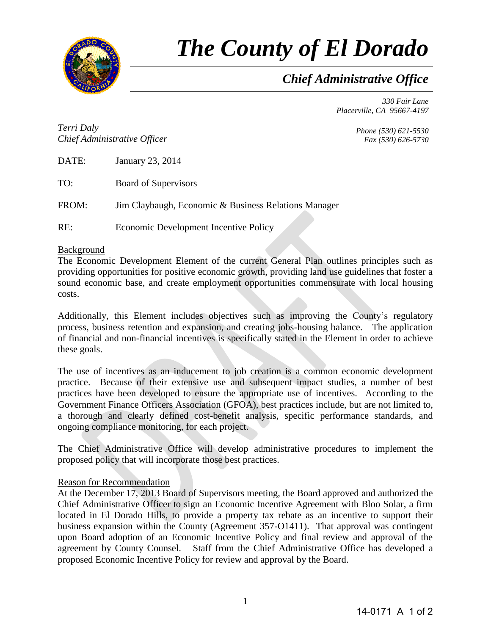

## *The County of El Dorado*

## *Chief Administrative Office*

*330 Fair Lane Placerville, CA 95667-4197*

*Terri Daly Chief Administrative Officer*

*Phone (530) 621-5530 Fax (530) 626-5730*

DATE: January 23, 2014

TO: Board of Supervisors

FROM: Jim Claybaugh, Economic & Business Relations Manager

RE: Economic Development Incentive Policy

**Background** 

The Economic Development Element of the current General Plan outlines principles such as providing opportunities for positive economic growth, providing land use guidelines that foster a sound economic base, and create employment opportunities commensurate with local housing costs.

Additionally, this Element includes objectives such as improving the County's regulatory process, business retention and expansion, and creating jobs-housing balance. The application of financial and non-financial incentives is specifically stated in the Element in order to achieve these goals.

The use of incentives as an inducement to job creation is a common economic development practice. Because of their extensive use and subsequent impact studies, a number of best practices have been developed to ensure the appropriate use of incentives. According to the Government Finance Officers Association (GFOA), best practices include, but are not limited to, a thorough and clearly defined cost-benefit analysis, specific performance standards, and ongoing compliance monitoring, for each project.

The Chief Administrative Office will develop administrative procedures to implement the proposed policy that will incorporate those best practices.

## Reason for Recommendation

At the December 17, 2013 Board of Supervisors meeting, the Board approved and authorized the Chief Administrative Officer to sign an Economic Incentive Agreement with Bloo Solar, a firm located in El Dorado Hills, to provide a property tax rebate as an incentive to support their business expansion within the County (Agreement 357-O1411). That approval was contingent upon Board adoption of an Economic Incentive Policy and final review and approval of the agreement by County Counsel. Staff from the Chief Administrative Office has developed a proposed Economic Incentive Policy for review and approval by the Board.